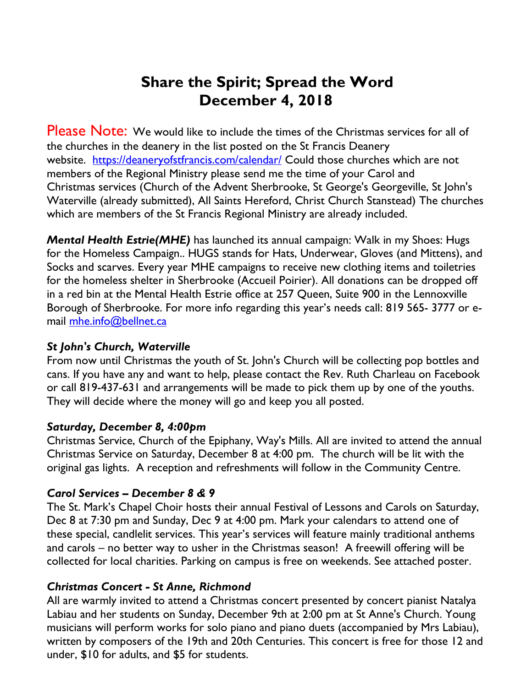# **Share the Spirit; Spread the Word December 4, 2018**

Please Note: We would like to include the times of the Christmas services for all of the churches in the deanery in the list posted on the St Francis Deanery website. https://deaneryofstfrancis.com/calendar/ Could those churches which are not members of the Regional Ministry please send me the time of your Carol and Christmas services (Church of the Advent Sherbrooke, St George's Georgeville, St John's Waterville (already submitted), All Saints Hereford, Christ Church Stanstead) The churches which are members of the St Francis Regional Ministry are already included.

*Mental Health Estrie(MHE)* has launched its annual campaign: Walk in my Shoes: Hugs for the Homeless Campaign.. HUGS stands for Hats, Underwear, Gloves (and Mittens), and Socks and scarves. Every year MHE campaigns to receive new clothing items and toiletries for the homeless shelter in Sherbrooke (Accueil Poirier). All donations can be dropped off in a red bin at the Mental Health Estrie office at 257 Queen, Suite 900 in the Lennoxville Borough of Sherbrooke. For more info regarding this year's needs call: 819 565- 3777 or email mhe.info@bellnet.ca

# *St John's Church, Waterville*

From now until Christmas the youth of St. John's Church will be collecting pop bottles and cans. If you have any and want to help, please contact the Rev. Ruth Charleau on Facebook or call 819-437-631 and arrangements will be made to pick them up by one of the youths. They will decide where the money will go and keep you all posted.

# *Saturday, December 8, 4:00pm*

Christmas Service, Church of the Epiphany, Way's Mills. All are invited to attend the annual Christmas Service on Saturday, December 8 at 4:00 pm. The church will be lit with the original gas lights. A reception and refreshments will follow in the Community Centre.

# *Carol Services – December 8 & 9*

The St. Mark's Chapel Choir hosts their annual Festival of Lessons and Carols on Saturday, Dec 8 at 7:30 pm and Sunday, Dec 9 at 4:00 pm. Mark your calendars to attend one of these special, candlelit services. This year's services will feature mainly traditional anthems and carols – no better way to usher in the Christmas season! A freewill offering will be collected for local charities. Parking on campus is free on weekends. See attached poster.

# *Christmas Concert - St Anne, Richmond*

All are warmly invited to attend a Christmas concert presented by concert pianist Natalya Labiau and her students on Sunday, December 9th at 2:00 pm at St Anne's Church. Young musicians will perform works for solo piano and piano duets (accompanied by Mrs Labiau), written by composers of the 19th and 20th Centuries. This concert is free for those 12 and under, \$10 for adults, and \$5 for students.